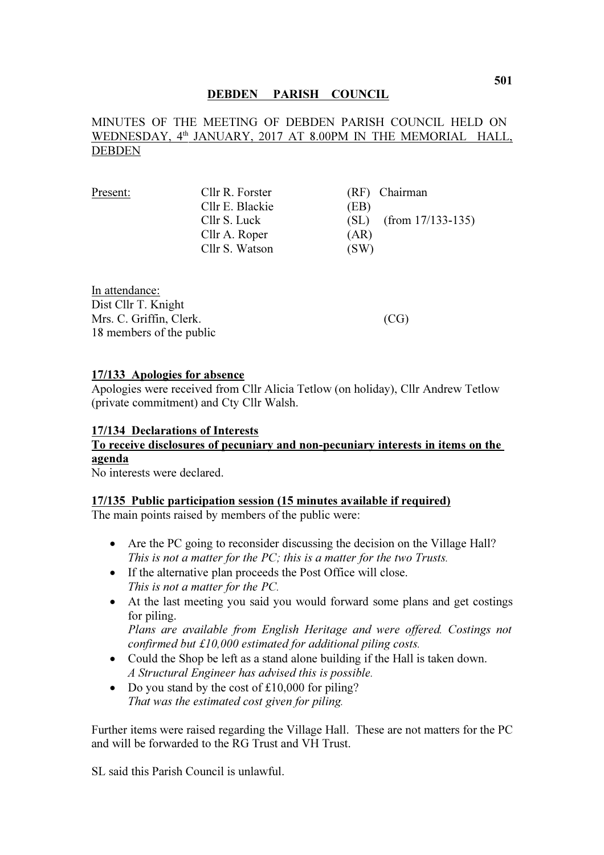## DEBDEN PARISH COUNCIL

# MINUTES OF THE MEETING OF DEBDEN PARISH COUNCIL HELD ON WEDNESDAY, 4<sup>th</sup> JANUARY, 2017 AT 8.00PM IN THE MEMORIAL HALL, DEBDEN

| Present: | Cllr R. Forster | (RF) Chairman               |
|----------|-----------------|-----------------------------|
|          | Cllr E. Blackie | (EB)                        |
|          | Cllr S. Luck    | $(from 17/133-135)$<br>(SL) |
|          | Cllr A. Roper   | (AR)                        |
|          | Cllr S. Watson  | (SW)                        |
|          |                 |                             |

In attendance: Dist Cllr T. Knight Mrs. C. Griffin, Clerk. (CG) 18 members of the public

#### 17/133 Apologies for absence

Apologies were received from Cllr Alicia Tetlow (on holiday), Cllr Andrew Tetlow (private commitment) and Cty Cllr Walsh.

#### 17/134 Declarations of Interests

# To receive disclosures of pecuniary and non-pecuniary interests in items on the agenda

No interests were declared.

### 17/135 Public participation session (15 minutes available if required)

The main points raised by members of the public were:

- Are the PC going to reconsider discussing the decision on the Village Hall? This is not a matter for the PC; this is a matter for the two Trusts.
- If the alternative plan proceeds the Post Office will close. This is not a matter for the PC.
- At the last meeting you said you would forward some plans and get costings for piling. Plans are available from English Heritage and were offered. Costings not

confirmed but £10,000 estimated for additional piling costs.

- Could the Shop be left as a stand alone building if the Hall is taken down. A Structural Engineer has advised this is possible.
- Do you stand by the cost of £10,000 for piling? That was the estimated cost given for piling.

Further items were raised regarding the Village Hall. These are not matters for the PC and will be forwarded to the RG Trust and VH Trust.

SL said this Parish Council is unlawful.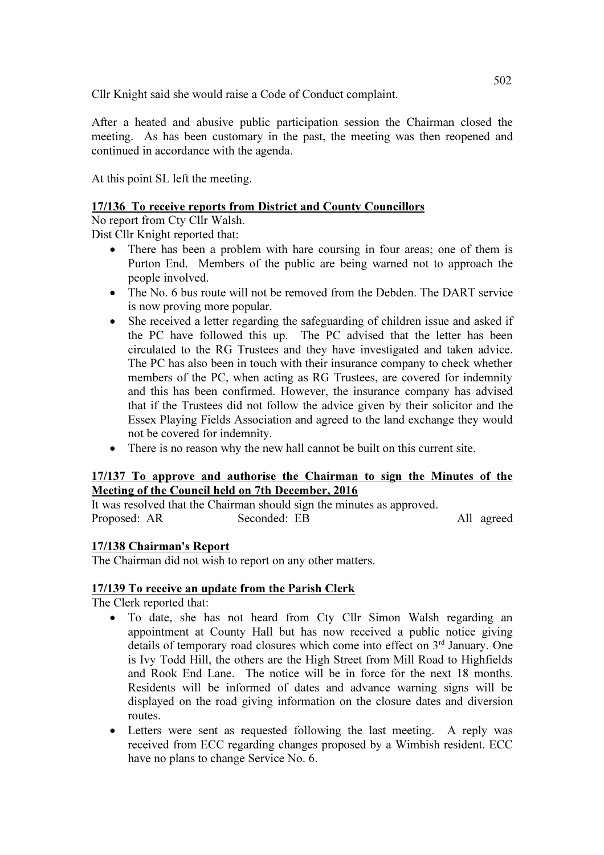Cllr Knight said she would raise a Code of Conduct complaint.

After a heated and abusive public participation session the Chairman closed the meeting. As has been customary in the past, the meeting was then reopened and continued in accordance with the agenda.

At this point SL left the meeting.

## 17/136 To receive reports from District and County Councillors

No report from Cty Cllr Walsh.

Dist Cllr Knight reported that:

- There has been a problem with hare coursing in four areas; one of them is Purton End. Members of the public are being warned not to approach the people involved.
- The No. 6 bus route will not be removed from the Debden. The DART service is now proving more popular.
- She received a letter regarding the safeguarding of children issue and asked if the PC have followed this up. The PC advised that the letter has been circulated to the RG Trustees and they have investigated and taken advice. The PC has also been in touch with their insurance company to check whether members of the PC, when acting as RG Trustees, are covered for indemnity and this has been confirmed. However, the insurance company has advised that if the Trustees did not follow the advice given by their solicitor and the Essex Playing Fields Association and agreed to the land exchange they would not be covered for indemnity.
- There is no reason why the new hall cannot be built on this current site.

## 17/137 To approve and authorise the Chairman to sign the Minutes of the Meeting of the Council held on 7th December, 2016

It was resolved that the Chairman should sign the minutes as approved.<br>Proposed: AR Seconded: EB Proposed: AR Seconded: EB All agreed

# 17/138 Chairman's Report

The Chairman did not wish to report on any other matters.

### 17/139 To receive an update from the Parish Clerk

The Clerk reported that:

- To date, she has not heard from Cty Cllr Simon Walsh regarding an appointment at County Hall but has now received a public notice giving details of temporary road closures which come into effect on 3<sup>rd</sup> January. One is Ivy Todd Hill, the others are the High Street from Mill Road to Highfields and Rook End Lane. The notice will be in force for the next 18 months. Residents will be informed of dates and advance warning signs will be displayed on the road giving information on the closure dates and diversion routes.
- Letters were sent as requested following the last meeting. A reply was received from ECC regarding changes proposed by a Wimbish resident. ECC have no plans to change Service No. 6.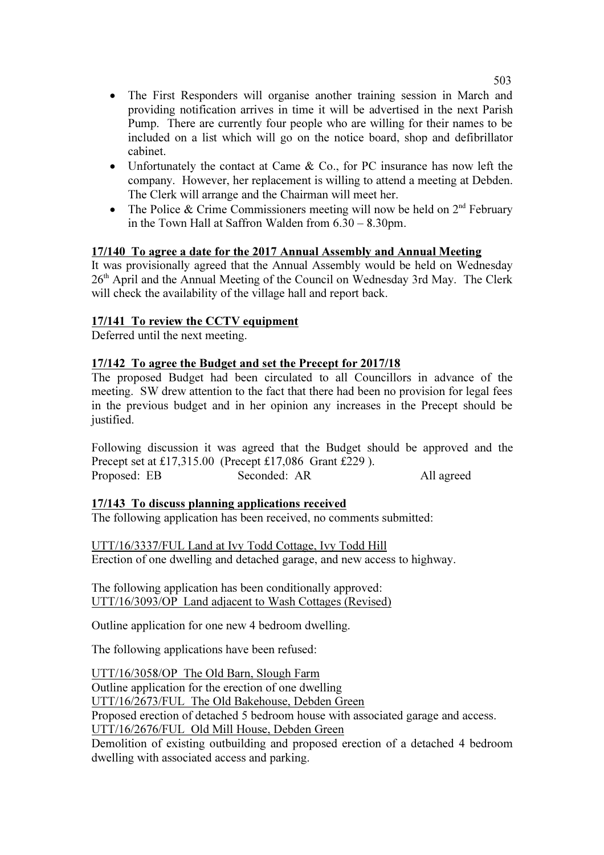- The First Responders will organise another training session in March and providing notification arrives in time it will be advertised in the next Parish Pump. There are currently four people who are willing for their names to be included on a list which will go on the notice board, shop and defibrillator cabinet.
- Unfortunately the contact at Came & Co., for PC insurance has now left the company. However, her replacement is willing to attend a meeting at Debden. The Clerk will arrange and the Chairman will meet her.
- The Police & Crime Commissioners meeting will now be held on  $2<sup>nd</sup>$  February in the Town Hall at Saffron Walden from 6.30 – 8.30pm.

## 17/140 To agree a date for the 2017 Annual Assembly and Annual Meeting

It was provisionally agreed that the Annual Assembly would be held on Wednesday 26<sup>th</sup> April and the Annual Meeting of the Council on Wednesday 3rd May. The Clerk will check the availability of the village hall and report back.

## 17/141 To review the CCTV equipment

Deferred until the next meeting.

### 17/142 To agree the Budget and set the Precept for 2017/18

The proposed Budget had been circulated to all Councillors in advance of the meeting. SW drew attention to the fact that there had been no provision for legal fees in the previous budget and in her opinion any increases in the Precept should be justified.

Following discussion it was agreed that the Budget should be approved and the Precept set at £17,315.00 (Precept £17,086 Grant £229 ). Proposed: EB Seconded: AR All agreed

### 17/143 To discuss planning applications received

The following application has been received, no comments submitted:

UTT/16/3337/FUL Land at Ivy Todd Cottage, Ivy Todd Hill Erection of one dwelling and detached garage, and new access to highway.

The following application has been conditionally approved: UTT/16/3093/OP Land adjacent to Wash Cottages (Revised)

Outline application for one new 4 bedroom dwelling.

The following applications have been refused:

UTT/16/3058/OP The Old Barn, Slough Farm Outline application for the erection of one dwelling UTT/16/2673/FUL The Old Bakehouse, Debden Green Proposed erection of detached 5 bedroom house with associated garage and access. UTT/16/2676/FUL Old Mill House, Debden Green Demolition of existing outbuilding and proposed erection of a detached 4 bedroom